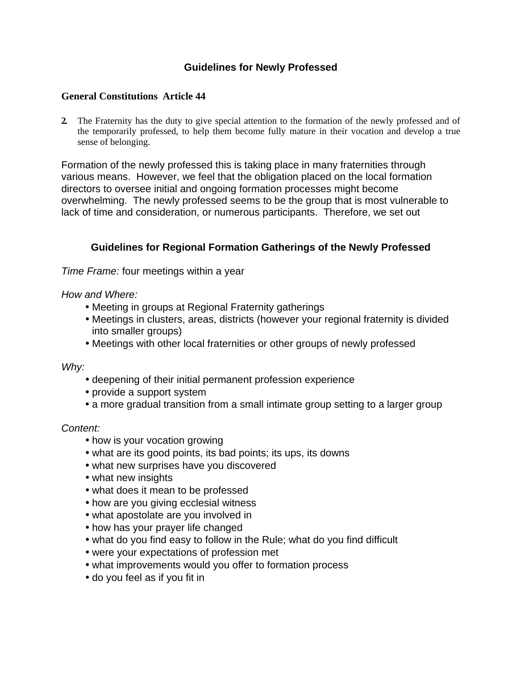# **Guidelines for Newly Professed**

### **General Constitutions Article 44**

**2.** The Fraternity has the duty to give special attention to the formation of the newly professed and of the temporarily professed, to help them become fully mature in their vocation and develop a true sense of belonging.

Formation of the newly professed this is taking place in many fraternities through various means. However, we feel that the obligation placed on the local formation directors to oversee initial and ongoing formation processes might become overwhelming. The newly professed seems to be the group that is most vulnerable to lack of time and consideration, or numerous participants. Therefore, we set out

## **Guidelines for Regional Formation Gatherings of the Newly Professed**

Time Frame: four meetings within a year

### How and Where:

- Meeting in groups at Regional Fraternity gatherings
- Meetings in clusters, areas, districts (however your regional fraternity is divided into smaller groups)
- Meetings with other local fraternities or other groups of newly professed

Why:

- deepening of their initial permanent profession experience
- provide a support system
- a more gradual transition from a small intimate group setting to a larger group

#### Content:

- how is your vocation growing
- what are its good points, its bad points; its ups, its downs
- what new surprises have you discovered
- what new insights
- what does it mean to be professed
- how are you giving ecclesial witness
- what apostolate are you involved in
- how has your prayer life changed
- what do you find easy to follow in the Rule; what do you find difficult
- were your expectations of profession met
- what improvements would you offer to formation process
- do you feel as if you fit in